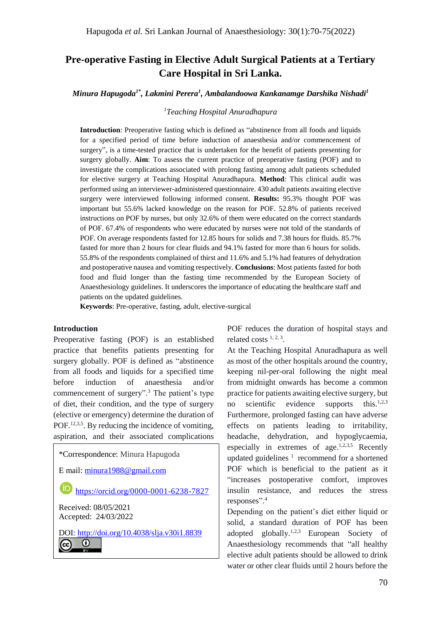# **Pre-operative Fasting in Elective Adult Surgical Patients at a Tertiary Care Hospital in Sri Lanka.**

*Minura Hapugoda1\*, Lakmini Perera<sup>1</sup> , Ambalandoowa Kankanamge Darshika Nishadi<sup>1</sup>*

#### *<sup>1</sup>Teaching Hospital Anuradhapura*

**Introduction**: Preoperative fasting which is defined as "abstinence from all foods and liquids for a specified period of time before induction of anaesthesia and/or commencement of surgery", is a time-tested practice that is undertaken for the benefit of patients presenting for surgery globally. **Aim**: To assess the current practice of preoperative fasting (POF) and to investigate the complications associated with prolong fasting among adult patients scheduled for elective surgery at Teaching Hospital Anuradhapura. **Method**: This clinical audit was performed using an interviewer-administered questionnaire. 430 adult patients awaiting elective surgery were interviewed following informed consent. **Results:** 95.3% thought POF was important but 55.6% lacked knowledge on the reason for POF. 52.8% of patients received instructions on POF by nurses, but only 32.6% of them were educated on the correct standards of POF. 67.4% of respondents who were educated by nurses were not told of the standards of POF. On average respondents fasted for 12.85 hours for solids and 7.38 hours for fluids. 85.7% fasted for more than 2 hours for clear fluids and 94.1% fasted for more than 6 hours for solids. 55.8% of the respondents complained of thirst and 11.6% and 5.1% had features of dehydration and postoperative nausea and vomiting respectively. **Conclusions**: Most patients fasted for both food and fluid longer than the fasting time recommended by the European Society of Anaesthesiology guidelines. It underscores the importance of educating the healthcare staff and patients on the updated guidelines.

**Keywords**: Pre-operative, fasting, adult, elective-surgical

#### **Introduction**

Preoperative fasting (POF) is an established practice that benefits patients presenting for surgery globally. POF is defined as "abstinence from all foods and liquids for a specified time before induction of anaesthesia and/or commencement of surgery". <sup>3</sup> The patient's type of diet, their condition, and the type of surgery (elective or emergency) determine the duration of POF.<sup>12,3,5</sup>. By reducing the incidence of vomiting, aspiration, and their associated complications

\*Correspondence: Minura Hapugoda

E mail: [minura1988@gmail.com](mailto:minura1988@gmail.com)

 $\sf (ID)$ <https://orcid.org/0000-0001-6238-7827>

Received: 08/05/2021 Accepted: 24/03/2022

DOI:<http://doi.org/10.4038/slja.v30i1.8839> $\bullet$ (cc)

POF reduces the duration of hospital stays and related costs  $1, 2, 3$ .

At the Teaching Hospital Anuradhapura as well as most of the other hospitals around the country, keeping nil-per-oral following the night meal from midnight onwards has become a common practice for patients awaiting elective surgery, but no scientific evidence supports. this.<sup>1,2,3</sup> Furthermore, prolonged fasting can have adverse effects on patients leading to irritability, headache, dehydration, and hypoglycaemia, especially in extremes of age.<sup>1,2,3,5</sup> Recently updated guidelines  $1$  recommend for a shortened POF which is beneficial to the patient as it "increases postoperative comfort, improves insulin resistance, and reduces the stress responses". 4

Depending on the patient's diet either liquid or solid, a standard duration of POF has been adopted globally.<sup>1,2,3</sup> European Society of Anaesthesiology recommends that "all healthy elective adult patients should be allowed to drink water or other clear fluids until 2 hours before the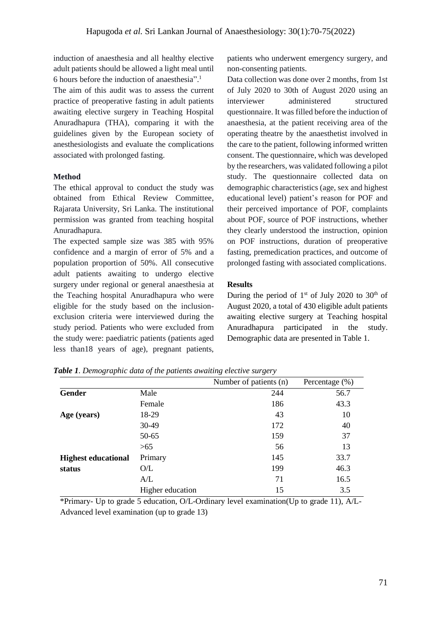induction of anaesthesia and all healthy elective adult patients should be allowed a light meal until 6 hours before the induction of anaesthesia". 1

The aim of this audit was to assess the current practice of preoperative fasting in adult patients awaiting elective surgery in Teaching Hospital Anuradhapura (THA), comparing it with the guidelines given by the European society of anesthesiologists and evaluate the complications associated with prolonged fasting.

# **Method**

The ethical approval to conduct the study was obtained from Ethical Review Committee, Rajarata University, Sri Lanka. The institutional permission was granted from teaching hospital Anuradhapura.

The expected sample size was 385 with 95% confidence and a margin of error of 5% and a population proportion of 50%. All consecutive adult patients awaiting to undergo elective surgery under regional or general anaesthesia at the Teaching hospital Anuradhapura who were eligible for the study based on the inclusionexclusion criteria were interviewed during the study period. Patients who were excluded from the study were: paediatric patients (patients aged less than18 years of age), pregnant patients,

patients who underwent emergency surgery, and non-consenting patients.

Data collection was done over 2 months, from 1st of July 2020 to 30th of August 2020 using an interviewer administered structured questionnaire. It was filled before the induction of anaesthesia, at the patient receiving area of the operating theatre by the anaesthetist involved in the care to the patient, following informed written consent. The questionnaire, which was developed by the researchers, was validated following a pilot study. The questionnaire collected data on demographic characteristics (age, sex and highest educational level) patient's reason for POF and their perceived importance of POF, complaints about POF, source of POF instructions, whether they clearly understood the instruction, opinion on POF instructions, duration of preoperative fasting, premedication practices, and outcome of prolonged fasting with associated complications.

# **Results**

During the period of  $1<sup>st</sup>$  of July 2020 to 30<sup>th</sup> of August 2020, a total of 430 eligible adult patients awaiting elective surgery at Teaching hospital Anuradhapura participated in the study. Demographic data are presented in Table 1.

|                            |                  | Number of patients (n) | Percentage $(\%)$ |
|----------------------------|------------------|------------------------|-------------------|
| Gender                     | Male             | 244                    | 56.7              |
|                            | Female           | 186                    | 43.3              |
| Age (years)                | 18-29            | 43                     | 10                |
|                            | 30-49            | 172                    | 40                |
|                            | 50-65            | 159                    | 37                |
|                            | >65              | 56                     | 13                |
| <b>Highest educational</b> | Primary          | 145                    | 33.7              |
| status                     | O/L              | 199                    | 46.3              |
|                            | A/L              | 71                     | 16.5              |
|                            | Higher education | 15                     | 3.5               |

*Table 1. Demographic data of the patients awaiting elective surgery*

\*Primary- Up to grade 5 education, O/L-Ordinary level examination(Up to grade 11), A/L-Advanced level examination (up to grade 13)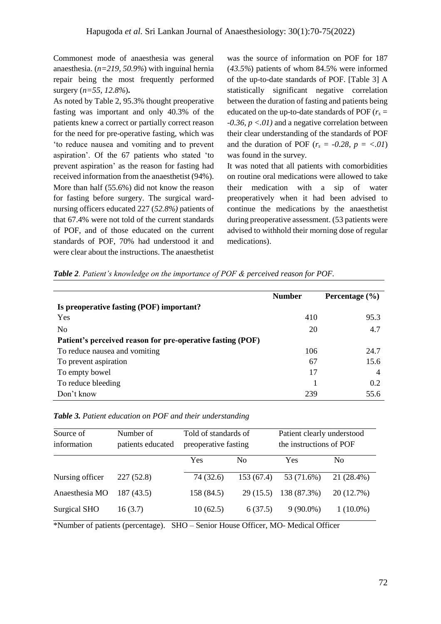Commonest mode of anaesthesia was general anaesthesia. (*n=219, 50.9%*) with inguinal hernia repair being the most frequently performed surgery (*n=55*, *12.8%*)**.** 

As noted by Table 2, 95.3% thought preoperative fasting was important and only 40.3% of the patients knew a correct or partially correct reason for the need for pre-operative fasting, which was 'to reduce nausea and vomiting and to prevent aspiration'. Of the 67 patients who stated 'to prevent aspiration' as the reason for fasting had received information from the anaesthetist (94%). More than half (55.6%) did not know the reason for fasting before surgery. The surgical wardnursing officers educated 227 (*52.8%)* patients of that 67.4% were not told of the current standards of POF, and of those educated on the current standards of POF, 70% had understood it and were clear about the instructions. The anaesthetist was the source of information on POF for 187 (*43.5%*) patients of whom 84.5% were informed of the up-to-date standards of POF. [Table 3] A statistically significant negative correlation between the duration of fasting and patients being educated on the up-to-date standards of POF ( $r_s$  = *-0.36, p <.01)* and a negative correlation between their clear understanding of the standards of POF and the duration of POF ( $r_s = -0.28$ ,  $p = \langle .01 \rangle$ ) was found in the survey*.*

It was noted that all patients with comorbidities on routine oral medications were allowed to take their medication with a sip of water preoperatively when it had been advised to continue the medications by the anaesthetist during preoperative assessment. (53 patients were advised to withhold their morning dose of regular medications).

|  | Table 2. Patient's knowledge on the importance of POF & perceived reason for POF. |  |  |  |
|--|-----------------------------------------------------------------------------------|--|--|--|
|  |                                                                                   |  |  |  |

|                                                            | <b>Number</b> | Percentage $(\% )$ |
|------------------------------------------------------------|---------------|--------------------|
| Is preoperative fasting (POF) important?                   |               |                    |
| Yes                                                        | 410           | 95.3               |
| N <sub>0</sub>                                             | 20            | 4.7                |
| Patient's perceived reason for pre-operative fasting (POF) |               |                    |
| To reduce nausea and vomiting                              | 106           | 24.7               |
| To prevent aspiration                                      | 67            | 15.6               |
| To empty bowel                                             | 17            | $\overline{4}$     |
| To reduce bleeding                                         |               | 0.2                |
| Don't know                                                 | 239           | 55.6               |

| Table 3. Patient education on POF and their understanding |  |
|-----------------------------------------------------------|--|
|-----------------------------------------------------------|--|

| Source of<br>information | Number of<br>patients educated | Told of standards of<br>preoperative fasting |                | Patient clearly understood<br>the instructions of POF |                |
|--------------------------|--------------------------------|----------------------------------------------|----------------|-------------------------------------------------------|----------------|
|                          |                                | Yes                                          | N <sub>0</sub> | Yes                                                   | N <sub>0</sub> |
| Nursing officer          | 227(52.8)                      | 74 (32.6)                                    | 153(67.4)      | 53 (71.6%)                                            | 21 (28.4%)     |
| Anaesthesia MO           | 187(43.5)                      | 158 (84.5)                                   | 29(15.5)       | 138 (87.3%)                                           | 20 (12.7%)     |
| <b>Surgical SHO</b>      | 16(3.7)                        | 10(62.5)                                     | 6(37.5)        | $9(90.0\%)$                                           | $1(10.0\%)$    |

\*Number of patients (percentage). SHO – Senior House Officer, MO- Medical Officer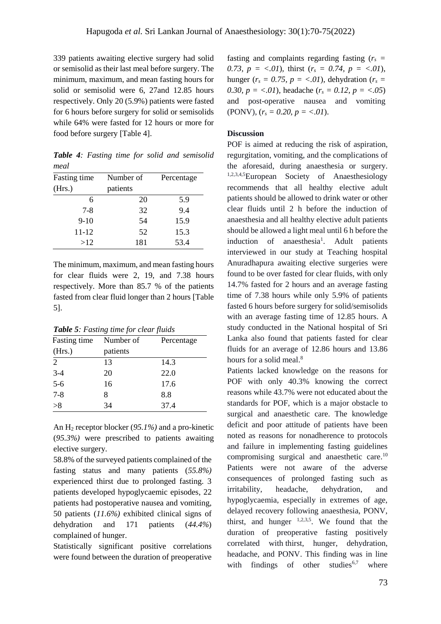339 patients awaiting elective surgery had solid or semisolid as their last meal before surgery. The minimum, maximum, and mean fasting hours for solid or semisolid were 6, 27and 12.85 hours respectively. Only 20 (5.9%) patients were fasted for 6 hours before surgery for solid or semisolids while 64% were fasted for 12 hours or more for food before surgery [Table 4].

*Table 4: Fasting time for solid and semisolid meal*

| Fasting time | Number of | Percentage |  |
|--------------|-----------|------------|--|
| (Hrs.)       | patients  |            |  |
| 6            | 20        | 5.9        |  |
| $7 - 8$      | 32        | 9.4        |  |
| $9-10$       | 54        | 15.9       |  |
| 11-12        | 52        | 15.3       |  |
| >12          | 181       | 53.4       |  |

The minimum, maximum, and mean fasting hours for clear fluids were 2, 19, and 7.38 hours respectively. More than 85.7 % of the patients fasted from clear fluid longer than 2 hours [Table 5].

*Table 5: Fasting time for clear fluids*

| Fasting time   | Number of | Percentage |
|----------------|-----------|------------|
| (Hrs.)         | patients  |            |
| 2              | 13        | 14.3       |
|                | 20        | 22.0       |
| $3-4$<br>$5-6$ | 16        | 17.6       |
| $7 - 8$        | 8         | 8.8        |
| >8             | 34        | 37.4       |
|                |           |            |

An H<sup>2</sup> receptor blocker (*95.1%)* and a pro-kinetic (*95.3%)* were prescribed to patients awaiting elective surgery.

58.8% of the surveyed patients complained of the fasting status and many patients (*55.8%)* experienced thirst due to prolonged fasting. 3 patients developed hypoglycaemic episodes, 22 patients had postoperative nausea and vomiting, 50 patients (*11.6%)* exhibited clinical signs of dehydration and 171 patients (*44.4%*) complained of hunger.

Statistically significant positive correlations were found between the duration of preoperative fasting and complaints regarding fasting  $(r<sub>s</sub> =$ 0.73,  $p = \langle .01 \rangle$ , thirst ( $r_s = 0.74$ ,  $p = \langle .01 \rangle$ , hunger ( $r_s = 0.75$ ,  $p = \langle .01 \rangle$ , dehydration ( $r_s =$ *0.30, p = <.01*)*,* headache ( $r_s = 0.12$ ,  $p = \langle .05 \rangle$ and post-operative nausea and vomiting (PONV),  $(r_s = 0.20, p = <.01)$ .

### **Discussion**

POF is aimed at reducing the risk of aspiration, regurgitation, vomiting, and the complications of the aforesaid, during anaesthesia or surgery. 1,2,3,4,5European Society of Anaesthesiology recommends that all healthy elective adult patients should be allowed to drink water or other clear fluids until 2 h before the induction of anaesthesia and all healthy elective adult patients should be allowed a light meal until 6 h before the induction of anaesthesia<sup>1</sup>. Adult patients interviewed in our study at Teaching hospital Anuradhapura awaiting elective surgeries were found to be over fasted for clear fluids, with only 14.7% fasted for 2 hours and an average fasting time of 7.38 hours while only 5.9% of patients fasted 6 hours before surgery for solid/semisolids with an average fasting time of 12.85 hours. A study conducted in the National hospital of Sri Lanka also found that patients fasted for clear fluids for an average of 12.86 hours and 13.86 hours for a solid meal. 8

Patients lacked knowledge on the reasons for POF with only 40.3% knowing the correct reasons while 43.7% were not educated about the standards for POF, which is a major obstacle to surgical and anaesthetic care. The knowledge deficit and poor attitude of patients have been noted as reasons for nonadherence to protocols and failure in implementing fasting guidelines compromising surgical and anaesthetic care. 10 Patients were not aware of the adverse consequences of prolonged fasting such as irritability, headache, dehydration, and hypoglycaemia, especially in extremes of age, delayed recovery following anaesthesia, PONV, thirst, and hunger  $1,2,3,5$ . We found that the duration of preoperative fasting positively correlated with thirst, hunger, dehydration, headache, and PONV. This finding was in line with findings of other studies $6,7$  where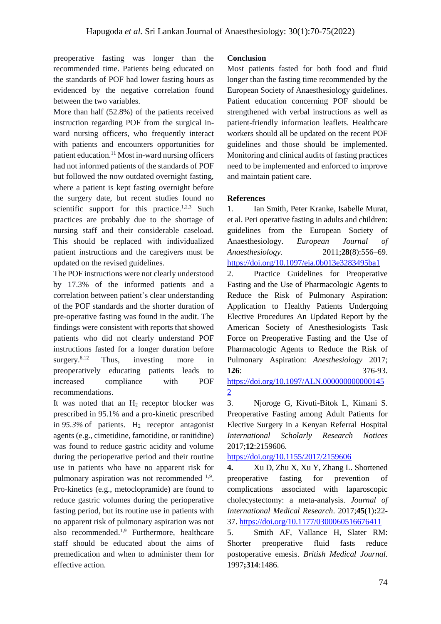preoperative fasting was longer than the recommended time. Patients being educated on the standards of POF had lower fasting hours as evidenced by the negative correlation found between the two variables.

More than half (52.8%) of the patients received instruction regarding POF from the surgical inward nursing officers, who frequently interact with patients and encounters opportunities for patient education. <sup>11</sup> Most in-ward nursing officers had not informed patients of the standards of POF but followed the now outdated overnight fasting, where a patient is kept fasting overnight before the surgery date, but recent studies found no scientific support for this practice.<sup>1,2,3</sup> Such practices are probably due to the shortage of nursing staff and their considerable caseload. This should be replaced with individualized patient instructions and the caregivers must be updated on the revised guidelines.

The POF instructions were not clearly understood by 17.3% of the informed patients and a correlation between patient's clear understanding of the POF standards and the shorter duration of pre-operative fasting was found in the audit. The findings were consistent with reports that showed patients who did not clearly understand POF instructions fasted for a longer duration before surgery. $6,12$ Thus, investing more in preoperatively educating patients leads to increased compliance with POF recommendations.

It was noted that an  $H_2$  receptor blocker was prescribed in 95.1% and a pro-kinetic prescribed in  $95.3\%$  of patients. H<sub>2</sub> receptor antagonist agents (e.g., cimetidine, famotidine, or ranitidine) was found to reduce gastric acidity and volume during the perioperative period and their routine use in patients who have no apparent risk for pulmonary aspiration was not recommended <sup>1,9</sup>. Pro-kinetics (e.g., metoclopramide) are found to reduce gastric volumes during the perioperative fasting period, but its routine use in patients with no apparent risk of pulmonary aspiration was not also recommended. 1,9 Furthermore, healthcare staff should be educated about the aims of premedication and when to administer them for effective action.

## **Conclusion**

Most patients fasted for both food and fluid longer than the fasting time recommended by the European Society of Anaesthesiology guidelines. Patient education concerning POF should be strengthened with verbal instructions as well as patient-friendly information leaflets. Healthcare workers should all be updated on the recent POF guidelines and those should be implemented. Monitoring and clinical audits of fasting practices need to be implemented and enforced to improve and maintain patient care.

#### **References**

1. Ian Smith, Peter Kranke, Isabelle Murat, et al. Peri operative fasting in adults and children: guidelines from the European Society of Anaesthesiology. *European Journal of Anaesthesiology.* 2011;**28**(8):556–69. <https://doi.org/10.1097/eja.0b013e3283495ba1>

2. Practice Guidelines for Preoperative Fasting and the Use of Pharmacologic Agents to Reduce the Risk of Pulmonary Aspiration: Application to Healthy Patients Undergoing Elective Procedures An Updated Report by the American Society of Anesthesiologists Task Force on Preoperative Fasting and the Use of Pharmacologic Agents to Reduce the Risk of Pulmonary Aspiration: *Anesthesiology* 2017; **126**: 376-93.

[https://doi.org/10.1097/ALN.000000000000145](https://doi.org/10.1097/ALN.0000000000001452) [2](https://doi.org/10.1097/ALN.0000000000001452)

3. Njoroge G, Kivuti-Bitok L, Kimani S. Preoperative Fasting among Adult Patients for Elective Surgery in a Kenyan Referral Hospital *International Scholarly Research Notices* 2017;**12**:2159606.

<https://doi.org/10.1155/2017/2159606>

**4.** Xu D, Zhu X, Xu Y, Zhang L. Shortened preoperative fasting for prevention of complications associated with laparoscopic cholecystectomy: a meta-analysis. *Journal of International Medical Research*. 2017;**45**(1)**:**22- 37.<https://doi.org/10.1177/0300060516676411>

5. Smith AF, Vallance H, Slater RM: Shorter preoperative fluid fasts reduce postoperative emesis. *British Medical Journal.* 1997**;314**:1486.